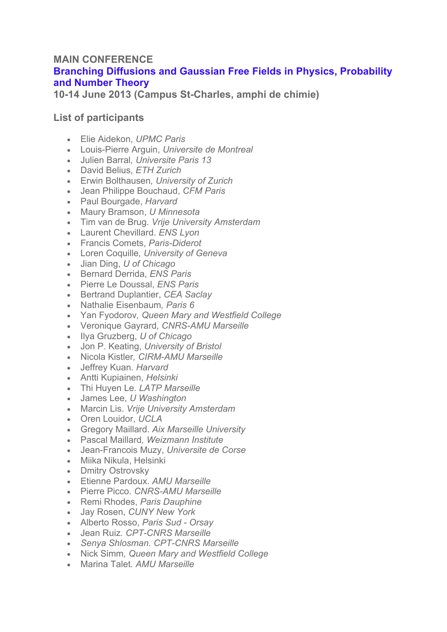## **MAIN CONFERENCE Branching Diffusions and Gaussian Free Fields in Physics, Probability and Number Theory**

**10-14 June 2013 (Campus St-Charles, amphi de chimie)**

## **List of participants**

- Elie Aidekon, *UPMC Paris*
- Louis-Pierre Arguin, *Universite de Montreal*
- Julien Barral*, Universite Paris 13*
- David Belius, *ETH Zurich*
- Erwin Bolthausen*, University of Zurich*
- Jean Philippe Bouchaud, *CFM Paris*
- Paul Bourgade, *Harvard*
- Maury Bramson, *U Minnesota*
- Tim van de Brug. *Vrije University Amsterdam*
- Laurent Chevillard. *ENS Lyon*
- Francis Comets, *Paris-Diderot*
- Loren Coquille*, University of Geneva*
- Jian Ding, *U of Chicago*
- Bernard Derrida, *ENS Paris*
- Pierre Le Doussal, *ENS Paris*
- Bertrand Duplantier, *CEA Saclay*
- Nathalie Eisenbaum*, Paris 6*
- Yan Fyodorov*, Queen Mary and Westfield College*
- Veronique Gayrard*, CNRS-AMU Marseille*
- Ilya Gruzberg, *U of Chicago*
- Jon P. Keating, *University of Bristol*
- Nicola Kistler*, CIRM-AMU Marseille*
- Jeffrey Kuan. *Harvard*
- Antti Kupiainen, *Helsinki*
- Thi Huyen Le*. LATP Marseille*
- James Lee, *U Washington*
- Marcin Lis. *Vrije University Amsterdam*
- Oren Louidor, *UCLA*
- Gregory Maillard. *Aix Marseille University*
- Pascal Maillard*, Weizmann Institute*
- Jean-Francois Muzy, *Universite de Corse*
- Miika Nikula, Helsinki
- Dmitry Ostrovsky
- Etienne Pardoux. *AMU Marseille*
- Pierre Picco. *CNRS-AMU Marseille*
- Remi Rhodes, *Paris Dauphine*
- Jay Rosen, *CUNY New York*
- Alberto Rosso, *Paris Sud - Orsay*
- Jean Ruiz*. CPT-CNRS Marseille*
- *Senya Shlosman. CPT-CNRS Marseille*
- Nick Simm*, Queen Mary and Westfield College*
- Marina Talet. *AMU Marseille*